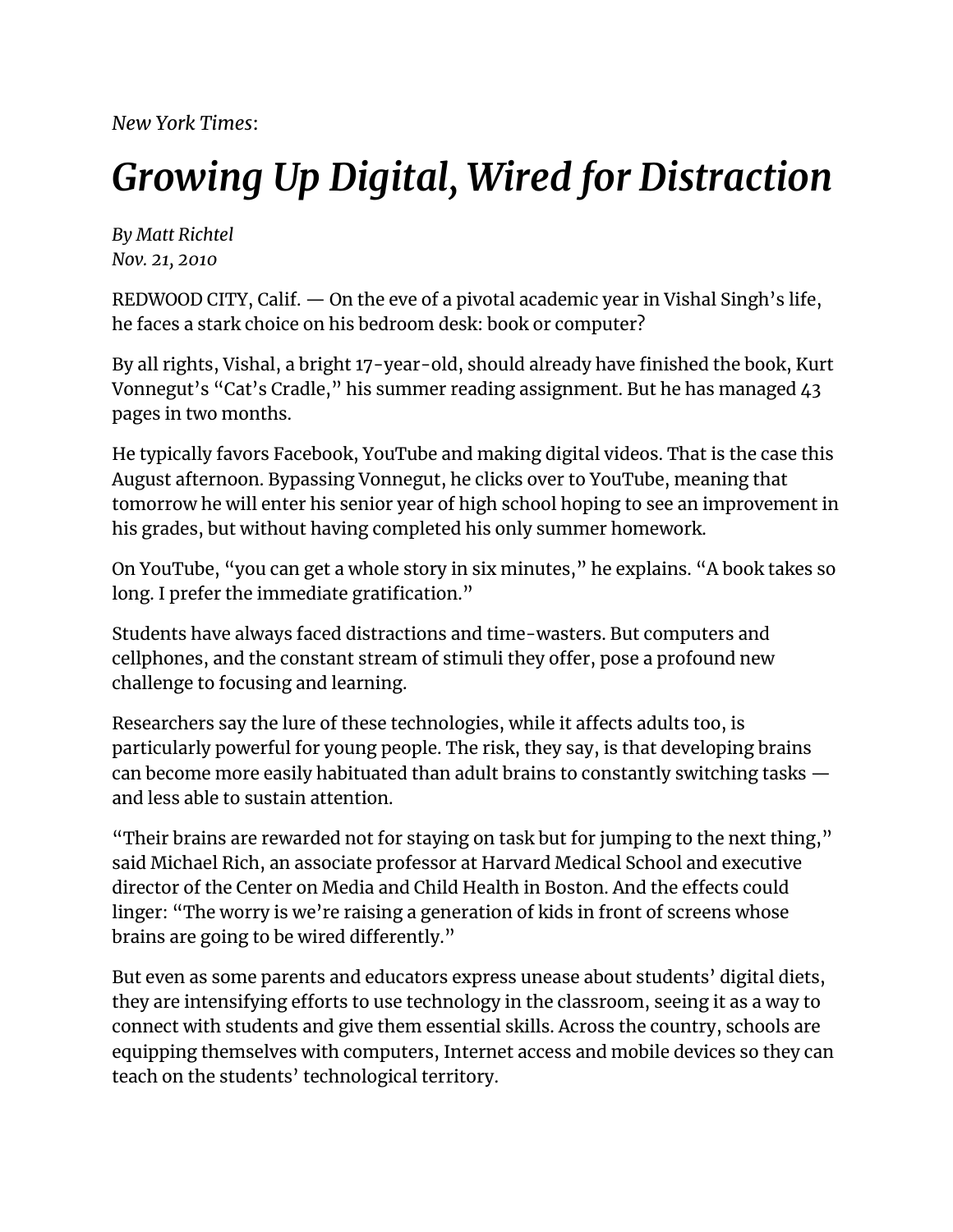*New York Times*:

## *Growing Up Digital, Wired for Distraction*

*By Matt Richtel Nov. 21, 2010*

REDWOOD CITY, Calif. — On the eve of a pivotal academic year in Vishal Singh's life, he faces a stark choice on his bedroom desk: book or computer?

By all rights, Vishal, a bright 17-year-old, should already have finished the book, Kurt Vonnegut's "Cat's Cradle," his summer reading assignment. But he has managed 43 pages in two months.

He typically favors Facebook, YouTube and making digital videos. That is the case this August afternoon. Bypassing Vonnegut, he clicks over to YouTube, meaning that tomorrow he will enter his senior year of high school hoping to see an improvement in his grades, but without having completed his only summer homework.

On YouTube, "you can get a whole story in six minutes," he explains. "A book takes so long. I prefer the immediate gratification."

Students have always faced distractions and time-wasters. But computers and cellphones, and the constant stream of stimuli they offer, pose a profound new challenge to focusing and learning.

Researchers say the lure of these technologies, while it affects adults too, is particularly powerful for young people. The risk, they say, is that developing brains can become more easily habituated than adult brains to constantly switching tasks and less able to sustain attention.

"Their brains are rewarded not for staying on task but for jumping to the next thing," said Michael Rich, an associate professor at Harvard Medical School and executive director of the Center on Media and Child Health in Boston. And the effects could linger: "The worry is we're raising a generation of kids in front of screens whose brains are going to be wired differently."

But even as some parents and educators express unease about students' digital diets, they are intensifying efforts to use technology in the classroom, seeing it as a way to connect with students and give them essential skills. Across the country, schools are equipping themselves with computers, Internet access and mobile devices so they can teach on the students' technological territory.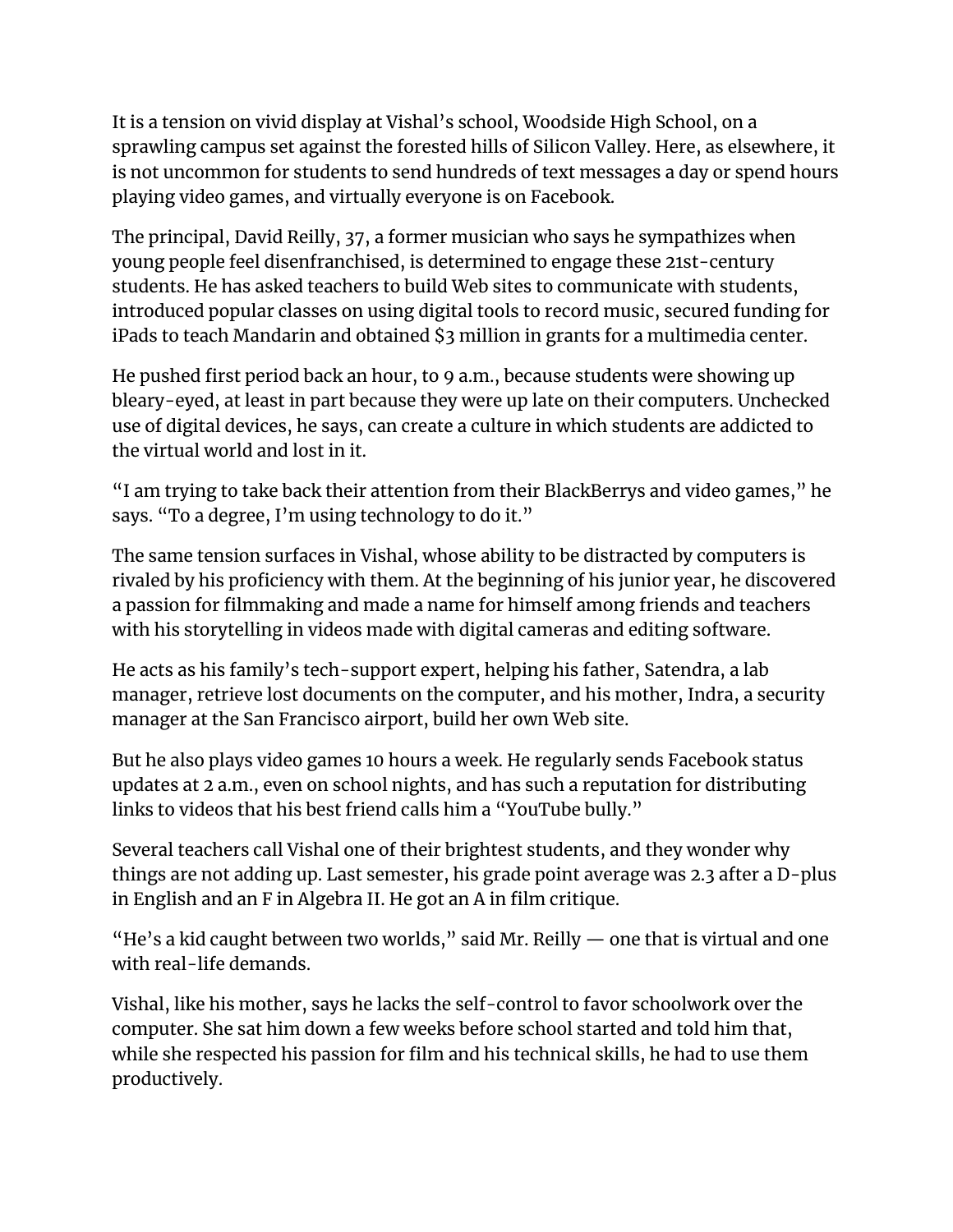It is a tension on vivid display at Vishal's school, Woodside High School, on a sprawling campus set against the forested hills of Silicon Valley. Here, as elsewhere, it is not uncommon for students to send hundreds of text messages a day or spend hours playing video games, and virtually everyone is on Facebook.

The principal, David Reilly, 37, a former musician who says he sympathizes when young people feel disenfranchised, is determined to engage these 21st-century students. He has asked teachers to build Web sites to communicate with students, introduced popular classes on using digital tools to record music, secured funding for iPads to teach Mandarin and obtained \$3 million in grants for a multimedia center.

He pushed first period back an hour, to 9 a.m., because students were showing up bleary-eyed, at least in part because they were up late on their computers. Unchecked use of digital devices, he says, can create a culture in which students are addicted to the virtual world and lost in it.

"I am trying to take back their attention from their BlackBerrys and video games," he says. "To a degree, I'm using technology to do it."

The same tension surfaces in Vishal, whose ability to be distracted by computers is rivaled by his proficiency with them. At the beginning of his junior year, he discovered a passion for filmmaking and made a name for himself among friends and teachers with his storytelling in videos made with digital cameras and editing software.

He acts as his family's tech-support expert, helping his father, Satendra, a lab manager, retrieve lost documents on the computer, and his mother, Indra, a security manager at the San Francisco airport, build her own Web site.

But he also plays video games 10 hours a week. He regularly sends Facebook status updates at 2 a.m., even on school nights, and has such a reputation for distributing links to videos that his best friend calls him a "YouTube bully."

Several teachers call Vishal one of their brightest students, and they wonder why things are not adding up. Last semester, his grade point average was 2.3 after a D-plus in English and an F in Algebra II. He got an A in film critique.

"He's a kid caught between two worlds," said Mr. Reilly  $-$  one that is virtual and one with real-life demands.

Vishal, like his mother, says he lacks the self-control to favor schoolwork over the computer. She sat him down a few weeks before school started and told him that, while she respected his passion for film and his technical skills, he had to use them productively.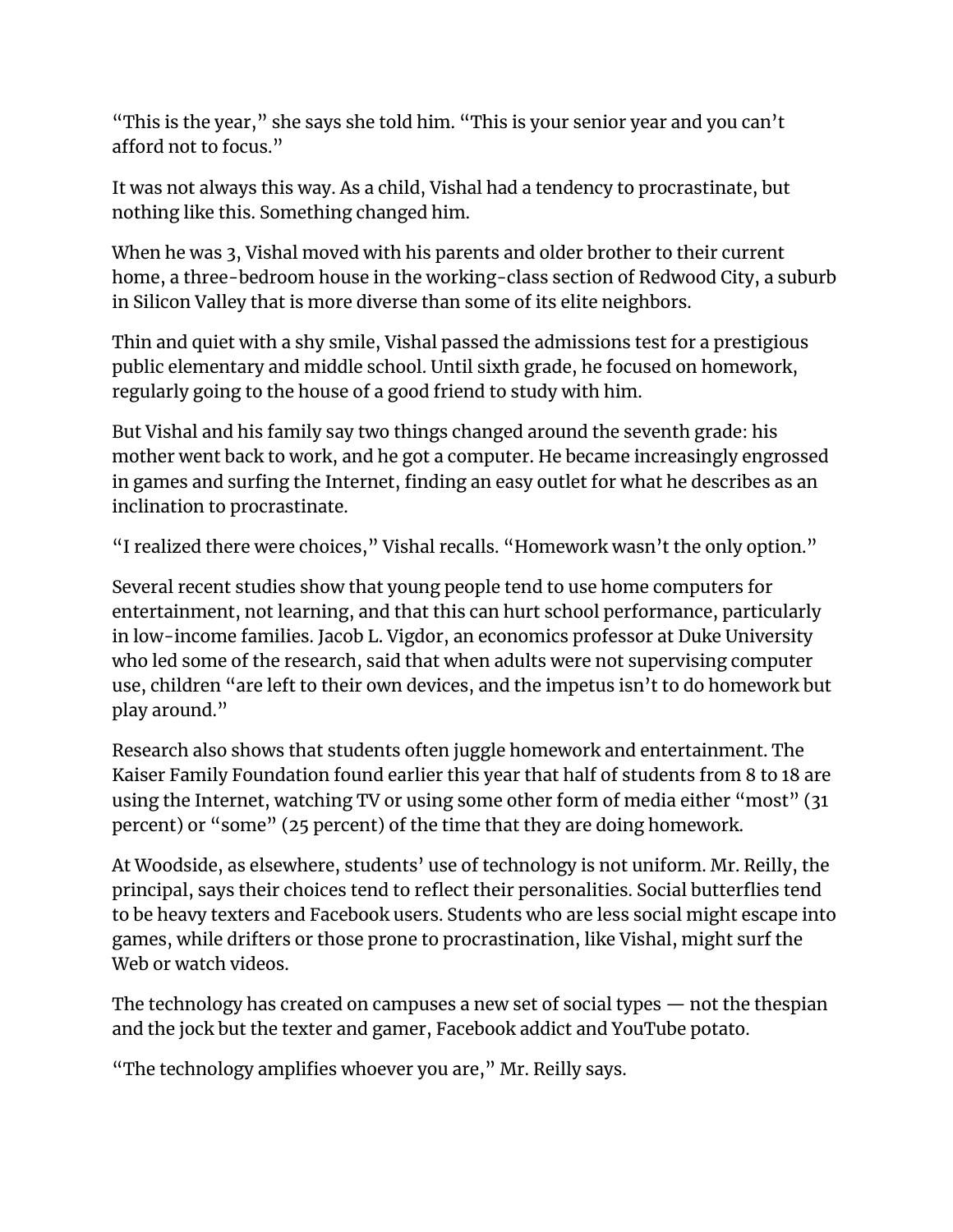"This is the year," she says she told him. "This is your senior year and you can't afford not to focus."

It was not always this way. As a child, Vishal had a tendency to procrastinate, but nothing like this. Something changed him.

When he was 3, Vishal moved with his parents and older brother to their current home, a three-bedroom house in the working-class section of Redwood City, a suburb in Silicon Valley that is more diverse than some of its elite neighbors.

Thin and quiet with a shy smile, Vishal passed the admissions test for a prestigious public elementary and middle school. Until sixth grade, he focused on homework, regularly going to the house of a good friend to study with him.

But Vishal and his family say two things changed around the seventh grade: his mother went back to work, and he got a computer. He became increasingly engrossed in games and surfing the Internet, finding an easy outlet for what he describes as an inclination to procrastinate.

"I realized there were choices," Vishal recalls. "Homework wasn't the only option."

Several recent studies show that young people tend to use home computers for entertainment, not learning, and that this can hurt school performance, particularly in low-income families. Jacob L. Vigdor, an economics professor at Duke University who led some of the research, said that when adults were not supervising computer use, children "are left to their own devices, and the impetus isn't to do homework but play around."

Research also shows that students often juggle homework and entertainment. The Kaiser Family Foundation found earlier this year that half of students from 8 to 18 are using the Internet, watching TV or using some other form of media either "most" (31 percent) or "some" (25 percent) of the time that they are doing homework.

At Woodside, as elsewhere, students' use of technology is not uniform. Mr. Reilly, the principal, says their choices tend to reflect their personalities. Social butterflies tend to be heavy texters and Facebook users. Students who are less social might escape into games, while drifters or those prone to procrastination, like Vishal, might surf the Web or watch videos.

The technology has created on campuses a new set of social types — not the thespian and the jock but the texter and gamer, Facebook addict and YouTube potato.

"The technology amplifies whoever you are," Mr. Reilly says.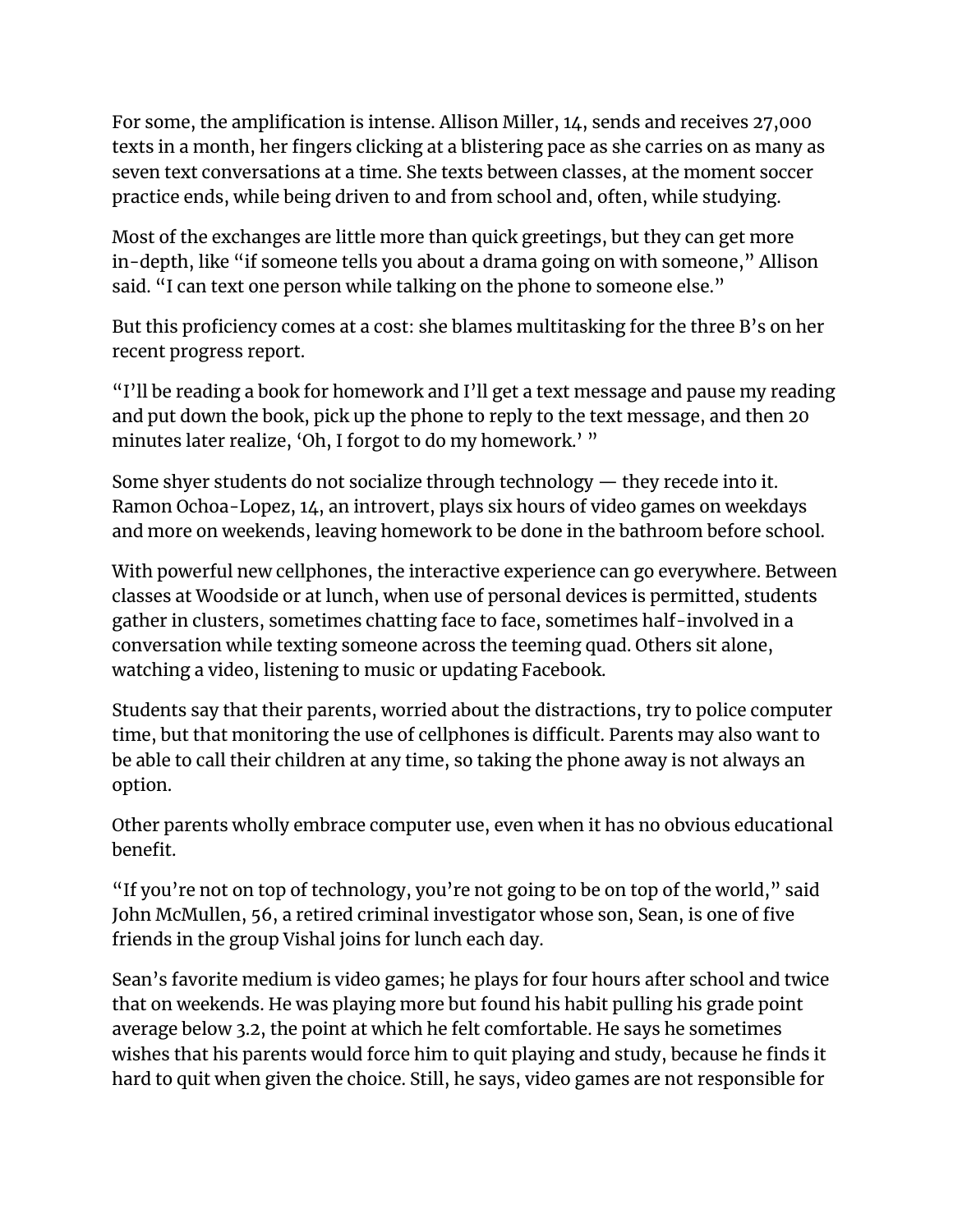For some, the amplification is intense. Allison Miller, 14, sends and receives 27,000 texts in a month, her fingers clicking at a blistering pace as she carries on as many as seven text conversations at a time. She texts between classes, at the moment soccer practice ends, while being driven to and from school and, often, while studying.

Most of the exchanges are little more than quick greetings, but they can get more in-depth, like "if someone tells you about a drama going on with someone," Allison said. "I can text one person while talking on the phone to someone else."

But this proficiency comes at a cost: she blames multitasking for the three B's on her recent progress report.

"I'll be reading a book for homework and I'll get a text message and pause my reading and put down the book, pick up the phone to reply to the text message, and then 20 minutes later realize, 'Oh, I forgot to do my homework.' "

Some shyer students do not socialize through technology — they recede into it. Ramon Ochoa-Lopez, 14, an introvert, plays six hours of video games on weekdays and more on weekends, leaving homework to be done in the bathroom before school.

With powerful new cellphones, the interactive experience can go everywhere. Between classes at Woodside or at lunch, when use of personal devices is permitted, students gather in clusters, sometimes chatting face to face, sometimes half-involved in a conversation while texting someone across the teeming quad. Others sit alone, watching a video, listening to music or updating Facebook.

Students say that their parents, worried about the distractions, try to police computer time, but that monitoring the use of cellphones is difficult. Parents may also want to be able to call their children at any time, so taking the phone away is not always an option.

Other parents wholly embrace computer use, even when it has no obvious educational benefit.

"If you're not on top of technology, you're not going to be on top of the world," said John McMullen, 56, a retired criminal investigator whose son, Sean, is one of five friends in the group Vishal joins for lunch each day.

Sean's favorite medium is video games; he plays for four hours after school and twice that on weekends. He was playing more but found his habit pulling his grade point average below 3.2, the point at which he felt comfortable. He says he sometimes wishes that his parents would force him to quit playing and study, because he finds it hard to quit when given the choice. Still, he says, video games are not responsible for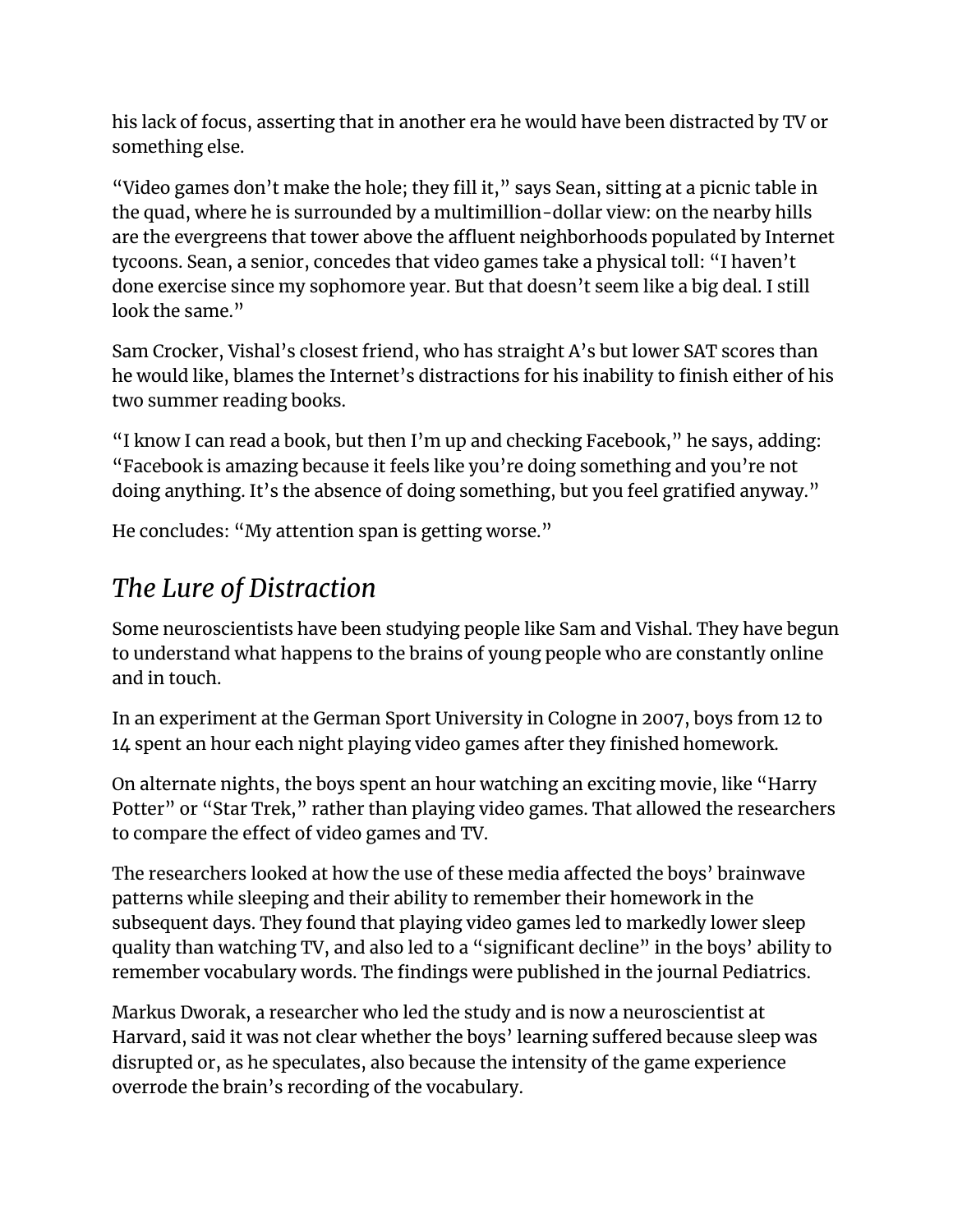his lack of focus, asserting that in another era he would have been distracted by TV or something else.

"Video games don't make the hole; they fill it," says Sean, sitting at a picnic table in the quad, where he is surrounded by a multimillion-dollar view: on the nearby hills are the evergreens that tower above the affluent neighborhoods populated by Internet tycoons. Sean, a senior, concedes that video games take a physical toll: "I haven't done exercise since my sophomore year. But that doesn't seem like a big deal. I still look the same."

Sam Crocker, Vishal's closest friend, who has straight A's but lower SAT scores than he would like, blames the Internet's distractions for his inability to finish either of his two summer reading books.

"I know I can read a book, but then I'm up and checking Facebook," he says, adding: "Facebook is amazing because it feels like you're doing something and you're not doing anything. It's the absence of doing something, but you feel gratified anyway."

He concludes: "My attention span is getting worse."

## *The Lure of Distraction*

Some neuroscientists have been studying people like Sam and Vishal. They have begun to understand what happens to the brains of young people who are constantly online and in touch.

In an experiment at the German Sport University in Cologne in 2007, boys from 12 to 14 spent an hour each night playing video games after they finished homework.

On alternate nights, the boys spent an hour watching an exciting movie, like "Harry Potter" or "Star Trek," rather than playing video games. That allowed the researchers to compare the effect of video games and TV.

The researchers looked at how the use of these media affected the boys' brainwave patterns while sleeping and their ability to remember their homework in the subsequent days. They found that playing video games led to markedly lower sleep quality than watching TV, and also led to a "significant decline" in the boys' ability to remember vocabulary words. The findings were published in the journal Pediatrics.

Markus Dworak, a researcher who led the study and is now a neuroscientist at Harvard, said it was not clear whether the boys' learning suffered because sleep was disrupted or, as he speculates, also because the intensity of the game experience overrode the brain's recording of the vocabulary.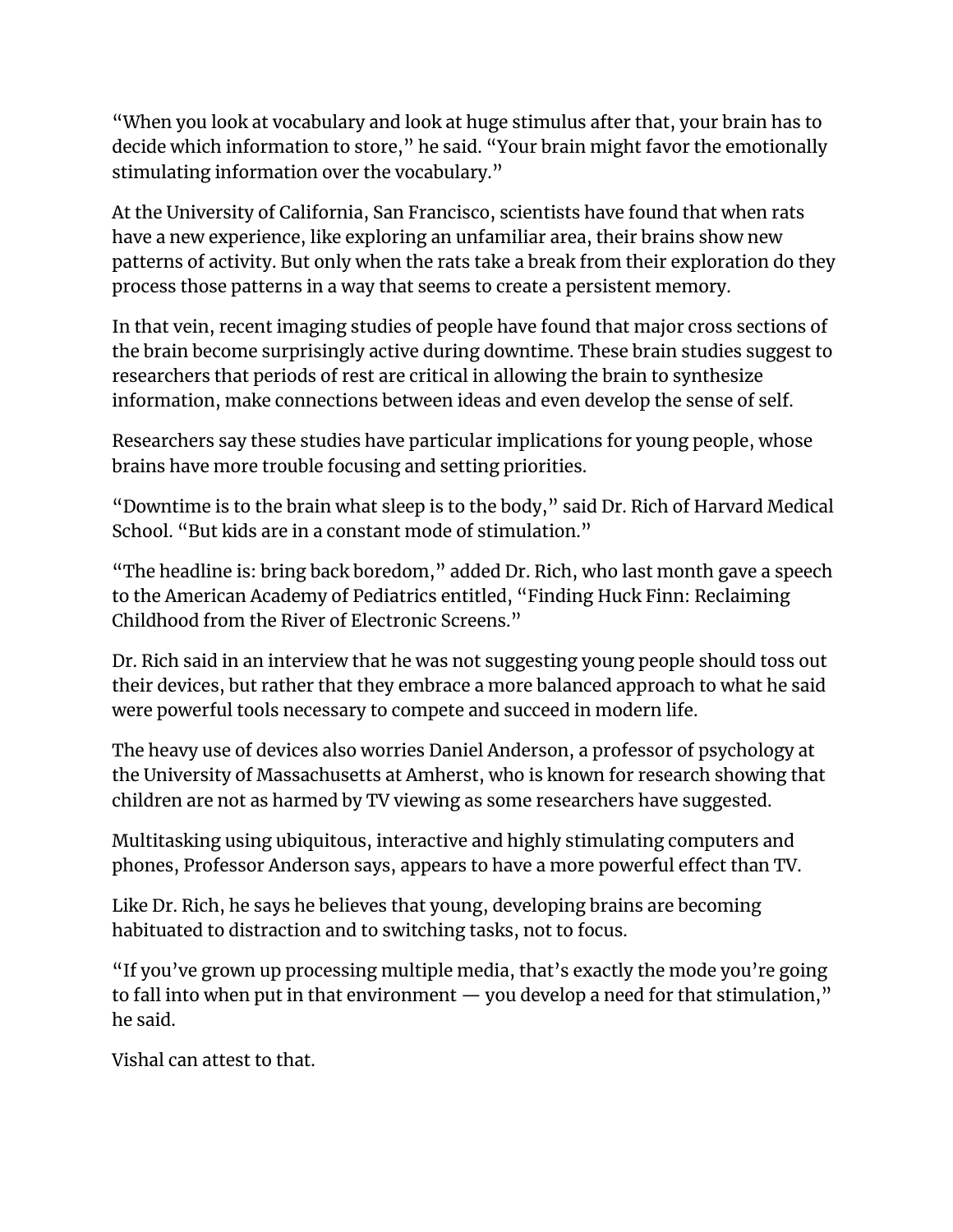"When you look at vocabulary and look at huge stimulus after that, your brain has to decide which information to store," he said. "Your brain might favor the emotionally stimulating information over the vocabulary."

At the University of California, San Francisco, scientists have found that when rats have a new experience, like exploring an unfamiliar area, their brains show new patterns of activity. But only when the rats take a break from their exploration do they process those patterns in a way that seems to create a persistent memory.

In that vein, recent imaging studies of people have found that major cross sections of the brain become surprisingly active during downtime. These brain studies suggest to researchers that periods of rest are critical in allowing the brain to synthesize information, make connections between ideas and even develop the sense of self.

Researchers say these studies have particular implications for young people, whose brains have more trouble focusing and setting priorities.

"Downtime is to the brain what sleep is to the body," said Dr. Rich of Harvard Medical School. "But kids are in a constant mode of stimulation."

"The headline is: bring back boredom," added Dr. Rich, who last month gave a speech to the American Academy of Pediatrics entitled, "Finding Huck Finn: Reclaiming Childhood from the River of Electronic Screens."

Dr. Rich said in an interview that he was not suggesting young people should toss out their devices, but rather that they embrace a more balanced approach to what he said were powerful tools necessary to compete and succeed in modern life.

The heavy use of devices also worries Daniel Anderson, a professor of psychology at the University of Massachusetts at Amherst, who is known for research showing that children are not as harmed by TV viewing as some researchers have suggested.

Multitasking using ubiquitous, interactive and highly stimulating computers and phones, Professor Anderson says, appears to have a more powerful effect than TV.

Like Dr. Rich, he says he believes that young, developing brains are becoming habituated to distraction and to switching tasks, not to focus.

"If you've grown up processing multiple media, that's exactly the mode you're going to fall into when put in that environment — you develop a need for that stimulation," he said.

Vishal can attest to that.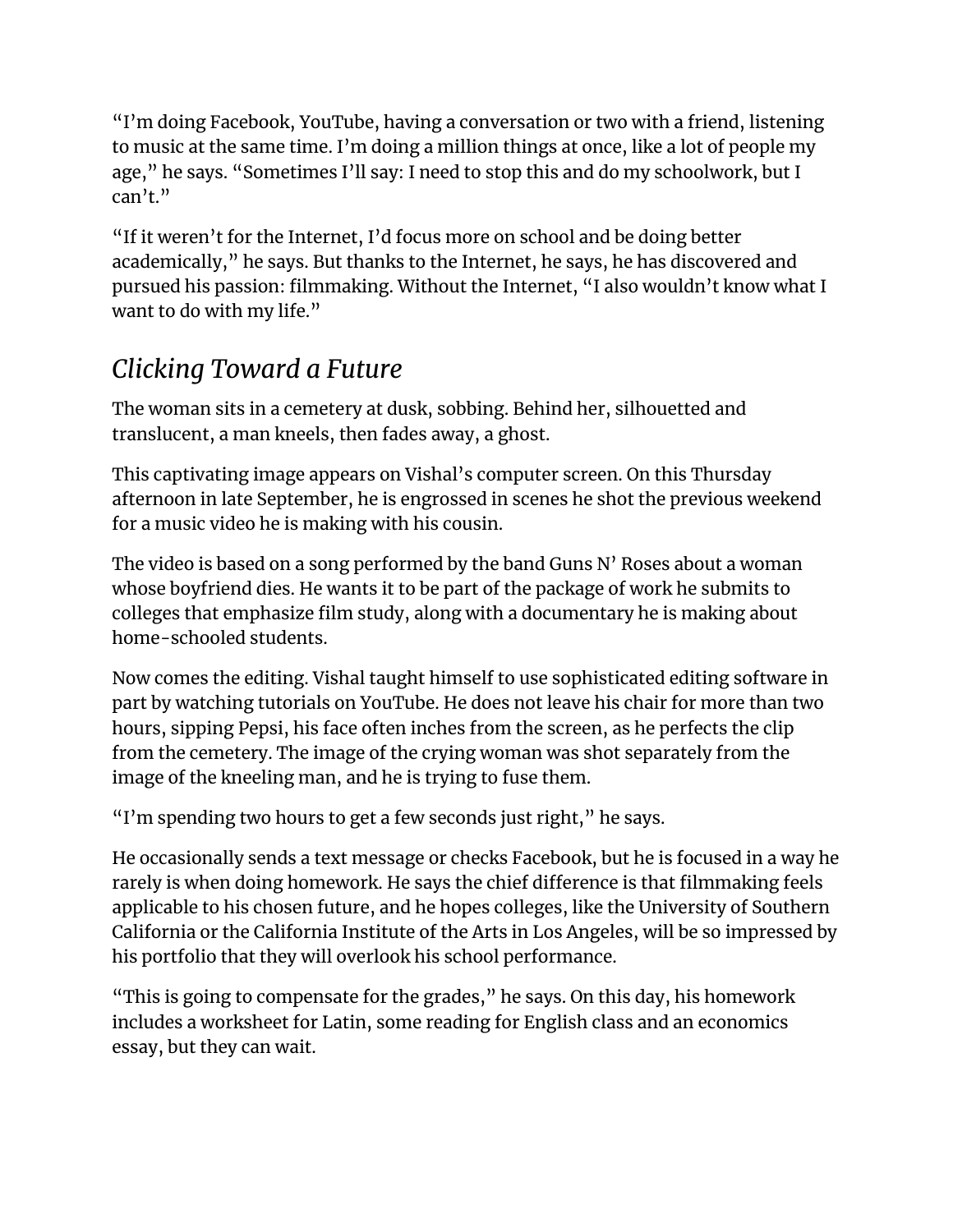"I'm doing Facebook, YouTube, having a conversation or two with a friend, listening to music at the same time. I'm doing a million things at once, like a lot of people my age," he says. "Sometimes I'll say: I need to stop this and do my schoolwork, but I can't."

"If it weren't for the Internet, I'd focus more on school and be doing better academically," he says. But thanks to the Internet, he says, he has discovered and pursued his passion: filmmaking. Without the Internet, "I also wouldn't know what I want to do with my life."

## *Clicking Toward a Future*

The woman sits in a cemetery at dusk, sobbing. Behind her, silhouetted and translucent, a man kneels, then fades away, a ghost.

This captivating image appears on Vishal's computer screen. On this Thursday afternoon in late September, he is engrossed in scenes he shot the previous weekend for a music video he is making with his cousin.

The video is based on a song performed by the band Guns N' Roses about a woman whose boyfriend dies. He wants it to be part of the package of work he submits to colleges that emphasize film study, along with a documentary he is making about home-schooled students.

Now comes the editing. Vishal taught himself to use sophisticated editing software in part by watching tutorials on YouTube. He does not leave his chair for more than two hours, sipping Pepsi, his face often inches from the screen, as he perfects the clip from the cemetery. The image of the crying woman was shot separately from the image of the kneeling man, and he is trying to fuse them.

"I'm spending two hours to get a few seconds just right," he says.

He occasionally sends a text message or checks Facebook, but he is focused in a way he rarely is when doing homework. He says the chief difference is that filmmaking feels applicable to his chosen future, and he hopes colleges, like the University of Southern California or the California Institute of the Arts in Los Angeles, will be so impressed by his portfolio that they will overlook his school performance.

"This is going to compensate for the grades," he says. On this day, his homework includes a worksheet for Latin, some reading for English class and an economics essay, but they can wait.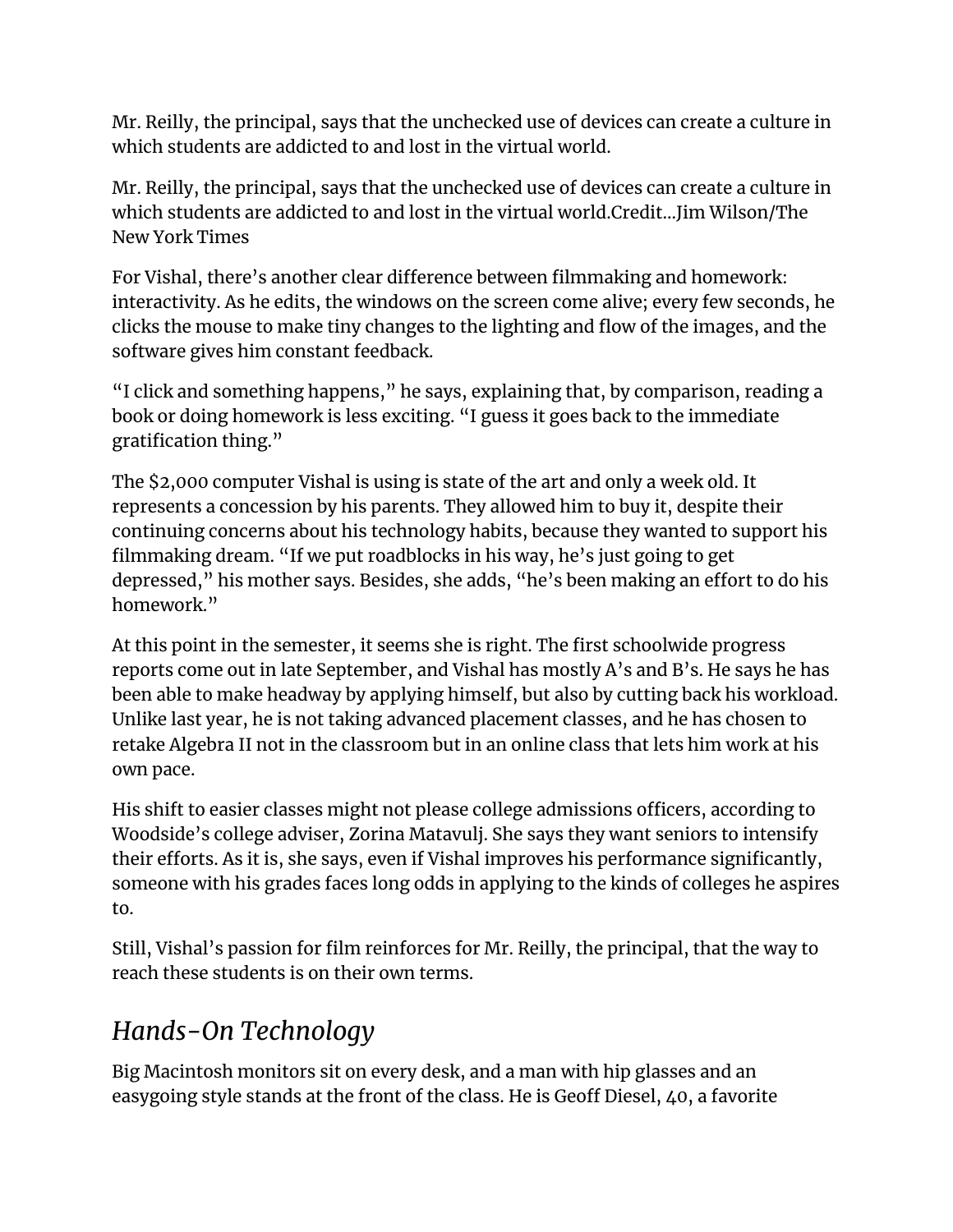Mr. Reilly, the principal, says that the unchecked use of devices can create a culture in which students are addicted to and lost in the virtual world.

Mr. Reilly, the principal, says that the unchecked use of devices can create a culture in which students are addicted to and lost in the virtual world.Credit...Jim Wilson/The New York Times

For Vishal, there's another clear difference between filmmaking and homework: interactivity. As he edits, the windows on the screen come alive; every few seconds, he clicks the mouse to make tiny changes to the lighting and flow of the images, and the software gives him constant feedback.

"I click and something happens," he says, explaining that, by comparison, reading a book or doing homework is less exciting. "I guess it goes back to the immediate gratification thing."

The \$2,000 computer Vishal is using is state of the art and only a week old. It represents a concession by his parents. They allowed him to buy it, despite their continuing concerns about his technology habits, because they wanted to support his filmmaking dream. "If we put roadblocks in his way, he's just going to get depressed," his mother says. Besides, she adds, "he's been making an effort to do his homework."

At this point in the semester, it seems she is right. The first schoolwide progress reports come out in late September, and Vishal has mostly A's and B's. He says he has been able to make headway by applying himself, but also by cutting back his workload. Unlike last year, he is not taking advanced placement classes, and he has chosen to retake Algebra II not in the classroom but in an online class that lets him work at his own pace.

His shift to easier classes might not please college admissions officers, according to Woodside's college adviser, Zorina Matavulj. She says they want seniors to intensify their efforts. As it is, she says, even if Vishal improves his performance significantly, someone with his grades faces long odds in applying to the kinds of colleges he aspires to.

Still, Vishal's passion for film reinforces for Mr. Reilly, the principal, that the way to reach these students is on their own terms.

## *Hands-On Technology*

Big Macintosh monitors sit on every desk, and a man with hip glasses and an easygoing style stands at the front of the class. He is Geoff Diesel, 40, a favorite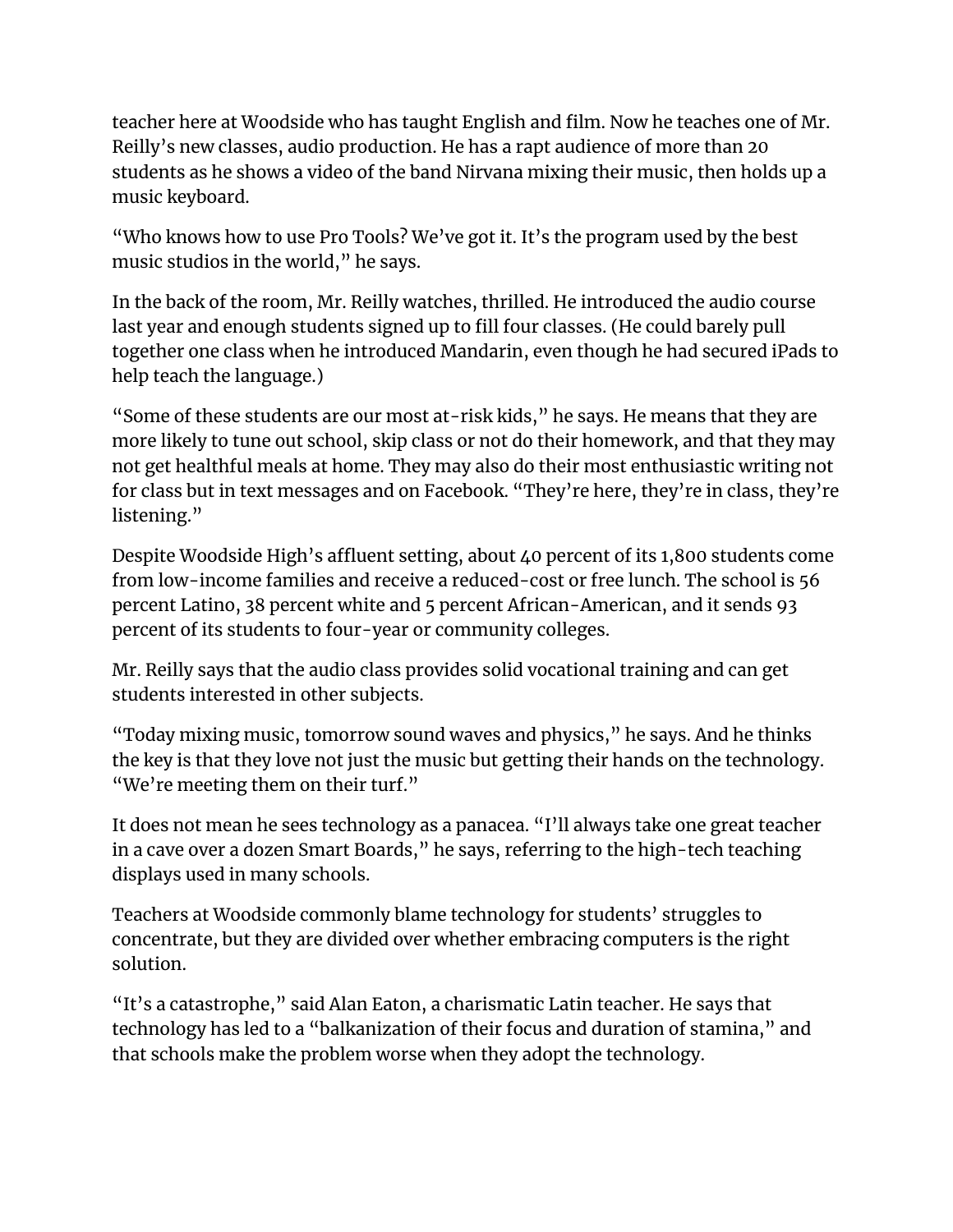teacher here at Woodside who has taught English and film. Now he teaches one of Mr. Reilly's new classes, audio production. He has a rapt audience of more than 20 students as he shows a video of the band Nirvana mixing their music, then holds up a music keyboard.

"Who knows how to use Pro Tools? We've got it. It's the program used by the best music studios in the world," he says.

In the back of the room, Mr. Reilly watches, thrilled. He introduced the audio course last year and enough students signed up to fill four classes. (He could barely pull together one class when he introduced Mandarin, even though he had secured iPads to help teach the language.)

"Some of these students are our most at-risk kids," he says. He means that they are more likely to tune out school, skip class or not do their homework, and that they may not get healthful meals at home. They may also do their most enthusiastic writing not for class but in text messages and on Facebook. "They're here, they're in class, they're listening."

Despite Woodside High's affluent setting, about 40 percent of its 1,800 students come from low-income families and receive a reduced-cost or free lunch. The school is 56 percent Latino, 38 percent white and 5 percent African-American, and it sends 93 percent of its students to four-year or community colleges.

Mr. Reilly says that the audio class provides solid vocational training and can get students interested in other subjects.

"Today mixing music, tomorrow sound waves and physics," he says. And he thinks the key is that they love not just the music but getting their hands on the technology. "We're meeting them on their turf."

It does not mean he sees technology as a panacea. "I'll always take one great teacher in a cave over a dozen Smart Boards," he says, referring to the high-tech teaching displays used in many schools.

Teachers at Woodside commonly blame technology for students' struggles to concentrate, but they are divided over whether embracing computers is the right solution.

"It's a catastrophe," said Alan Eaton, a charismatic Latin teacher. He says that technology has led to a "balkanization of their focus and duration of stamina," and that schools make the problem worse when they adopt the technology.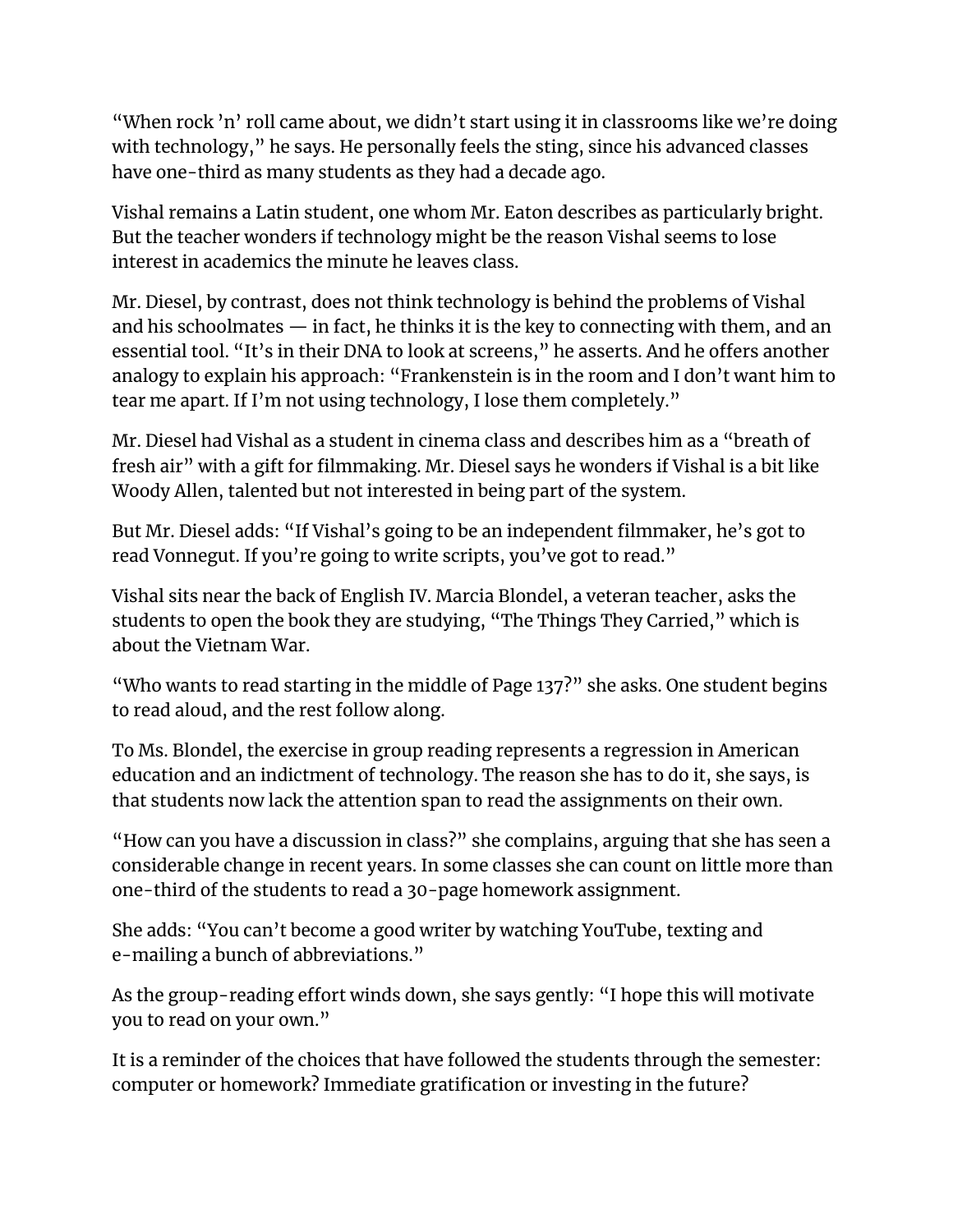"When rock 'n' roll came about, we didn't start using it in classrooms like we're doing with technology," he says. He personally feels the sting, since his advanced classes have one-third as many students as they had a decade ago.

Vishal remains a Latin student, one whom Mr. Eaton describes as particularly bright. But the teacher wonders if technology might be the reason Vishal seems to lose interest in academics the minute he leaves class.

Mr. Diesel, by contrast, does not think technology is behind the problems of Vishal and his schoolmates — in fact, he thinks it is the key to connecting with them, and an essential tool. "It's in their DNA to look at screens," he asserts. And he offers another analogy to explain his approach: "Frankenstein is in the room and I don't want him to tear me apart. If I'm not using technology, I lose them completely."

Mr. Diesel had Vishal as a student in cinema class and describes him as a "breath of fresh air" with a gift for filmmaking. Mr. Diesel says he wonders if Vishal is a bit like Woody Allen, talented but not interested in being part of the system.

But Mr. Diesel adds: "If Vishal's going to be an independent filmmaker, he's got to read Vonnegut. If you're going to write scripts, you've got to read."

Vishal sits near the back of English IV. Marcia Blondel, a veteran teacher, asks the students to open the book they are studying, "The Things They Carried," which is about the Vietnam War.

"Who wants to read starting in the middle of Page 137?" she asks. One student begins to read aloud, and the rest follow along.

To Ms. Blondel, the exercise in group reading represents a regression in American education and an indictment of technology. The reason she has to do it, she says, is that students now lack the attention span to read the assignments on their own.

"How can you have a discussion in class?" she complains, arguing that she has seen a considerable change in recent years. In some classes she can count on little more than one-third of the students to read a 30-page homework assignment.

She adds: "You can't become a good writer by watching YouTube, texting and e-mailing a bunch of abbreviations."

As the group-reading effort winds down, she says gently: "I hope this will motivate you to read on your own."

It is a reminder of the choices that have followed the students through the semester: computer or homework? Immediate gratification or investing in the future?